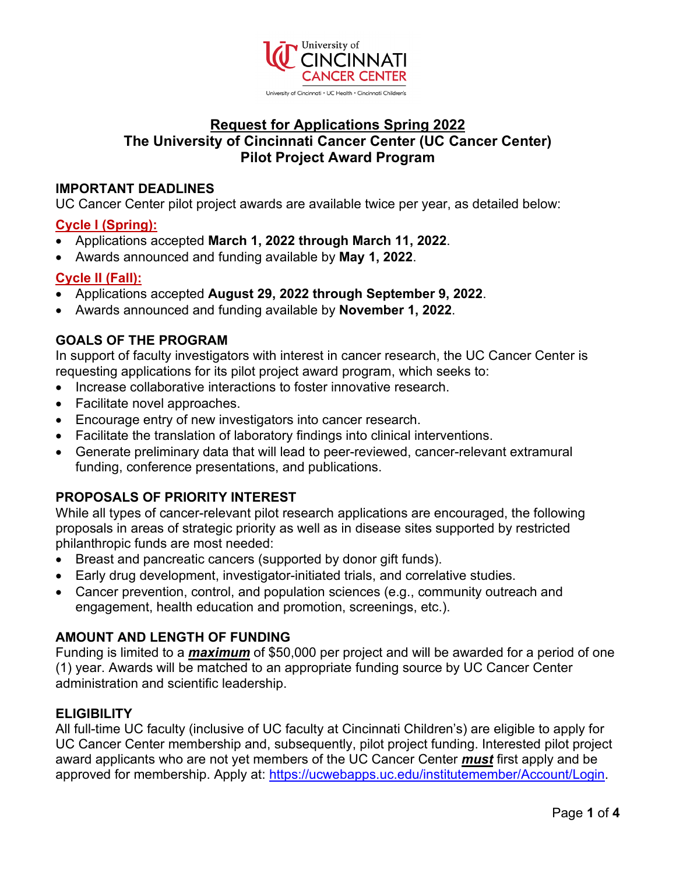

# **Request for Applications Spring 2022 The University of Cincinnati Cancer Center (UC Cancer Center) Pilot Project Award Program**

## **IMPORTANT DEADLINES**

UC Cancer Center pilot project awards are available twice per year, as detailed below:

## **Cycle I (Spring):**

- Applications accepted **March 1, 2022 through March 11, 2022**.
- Awards announced and funding available by **May 1, 2022**.

## **Cycle II (Fall):**

- Applications accepted **August 29, 2022 through September 9, 2022**.
- Awards announced and funding available by **November 1, 2022**.

## **GOALS OF THE PROGRAM**

In support of faculty investigators with interest in cancer research, the UC Cancer Center is requesting applications for its pilot project award program, which seeks to:

- Increase collaborative interactions to foster innovative research.
- Facilitate novel approaches.
- Encourage entry of new investigators into cancer research.
- Facilitate the translation of laboratory findings into clinical interventions.
- Generate preliminary data that will lead to peer-reviewed, cancer-relevant extramural funding, conference presentations, and publications.

#### **PROPOSALS OF PRIORITY INTEREST**

While all types of cancer-relevant pilot research applications are encouraged, the following proposals in areas of strategic priority as well as in disease sites supported by restricted philanthropic funds are most needed:

- Breast and pancreatic cancers (supported by donor gift funds).
- Early drug development, investigator-initiated trials, and correlative studies.
- Cancer prevention, control, and population sciences (e.g., community outreach and engagement, health education and promotion, screenings, etc.).

#### **AMOUNT AND LENGTH OF FUNDING**

Funding is limited to a *maximum* of \$50,000 per project and will be awarded for a period of one (1) year. Awards will be matched to an appropriate funding source by UC Cancer Center administration and scientific leadership.

#### **ELIGIBILITY**

All full-time UC faculty (inclusive of UC faculty at Cincinnati Children's) are eligible to apply for UC Cancer Center membership and, subsequently, pilot project funding. Interested pilot project award applicants who are not yet members of the UC Cancer Center *must* first apply and be approved for membership. Apply at: [https://ucwebapps.uc.edu/institutemember/Account/Login.](https://ucwebapps.uc.edu/institutemember/Account/Login)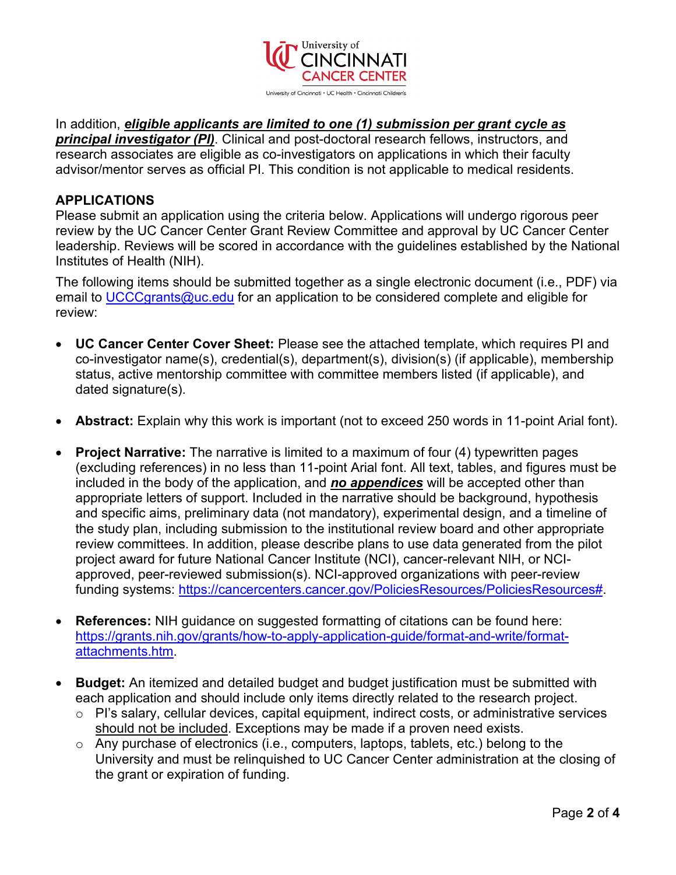

In addition, *eligible applicants are limited to one (1) submission per grant cycle as principal investigator (PI)*. Clinical and post-doctoral research fellows, instructors, and research associates are eligible as co-investigators on applications in which their faculty advisor/mentor serves as official PI. This condition is not applicable to medical residents.

#### **APPLICATIONS**

Please submit an application using the criteria below. Applications will undergo rigorous peer review by the UC Cancer Center Grant Review Committee and approval by UC Cancer Center leadership. Reviews will be scored in accordance with the guidelines established by the National Institutes of Health (NIH).

The following items should be submitted together as a single electronic document (i.e., PDF) via email to [UCCCgrants@uc.edu](mailto:UCCCgrants@uc.edu) for an application to be considered complete and eligible for review:

- **UC Cancer Center Cover Sheet:** Please see the attached template, which requires PI and co-investigator name(s), credential(s), department(s), division(s) (if applicable), membership status, active mentorship committee with committee members listed (if applicable), and dated signature(s).
- **Abstract:** Explain why this work is important (not to exceed 250 words in 11-point Arial font).
- **Project Narrative:** The narrative is limited to a maximum of four (4) typewritten pages (excluding references) in no less than 11-point Arial font. All text, tables, and figures must be included in the body of the application, and *no appendices* will be accepted other than appropriate letters of support. Included in the narrative should be background, hypothesis and specific aims, preliminary data (not mandatory), experimental design, and a timeline of the study plan, including submission to the institutional review board and other appropriate review committees. In addition, please describe plans to use data generated from the pilot project award for future National Cancer Institute (NCI), cancer-relevant NIH, or NCIapproved, peer-reviewed submission(s). NCI-approved organizations with peer-review funding systems: [https://cancercenters.cancer.gov/PoliciesResources/PoliciesResources#.](https://cancercenters.cancer.gov/PoliciesResources/PoliciesResources)
- **References:** NIH guidance on suggested formatting of citations can be found here: [https://grants.nih.gov/grants/how-to-apply-application-guide/format-and-write/format](https://grants.nih.gov/grants/how-to-apply-application-guide/format-and-write/format-attachments.htm)[attachments.htm.](https://grants.nih.gov/grants/how-to-apply-application-guide/format-and-write/format-attachments.htm)
- **Budget:** An itemized and detailed budget and budget justification must be submitted with each application and should include only items directly related to the research project.
	- o PI's salary, cellular devices, capital equipment, indirect costs, or administrative services should not be included. Exceptions may be made if a proven need exists.
	- o Any purchase of electronics (i.e., computers, laptops, tablets, etc.) belong to the University and must be relinquished to UC Cancer Center administration at the closing of the grant or expiration of funding.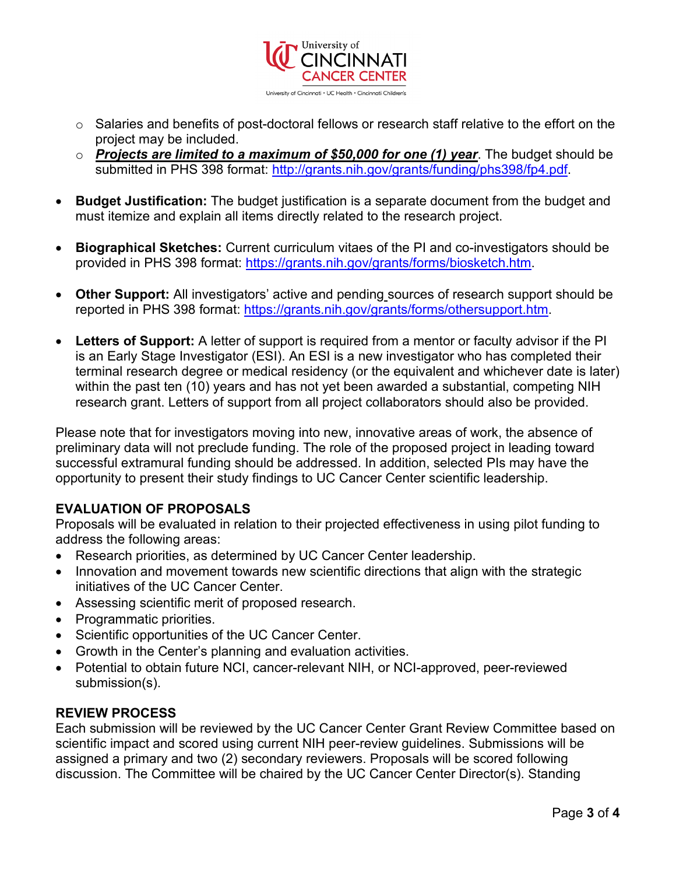

- o Salaries and benefits of post-doctoral fellows or research staff relative to the effort on the project may be included.
- o *Projects are limited to a maximum of \$50,000 for one (1) year*. The budget should be submitted in PHS 398 format: [http://grants.nih.gov/grants/funding/phs398/fp4.pdf.](http://grants.nih.gov/grants/funding/phs398/fp4.pdf)
- **Budget Justification:** The budget justification is a separate document from the budget and must itemize and explain all items directly related to the research project.
- **Biographical Sketches:** Current curriculum vitaes of the PI and co-investigators should be provided in PHS 398 format: [https://grants.nih.gov/grants/forms/biosketch.htm.](https://grants.nih.gov/grants/forms/biosketch.htm)
- **Other Support:** All investigators' active and pending sources of research support should be reported in PHS 398 format: [https://grants.nih.gov/grants/forms/othersupport.htm.](https://grants.nih.gov/grants/forms/othersupport.htm)
- **Letters of Support:** A letter of support is required from a mentor or faculty advisor if the PI is an Early Stage Investigator (ESI). An ESI is a new investigator who has completed their terminal research degree or medical residency (or the equivalent and whichever date is later) within the past ten (10) years and has not yet been awarded a substantial, competing NIH research grant. Letters of support from all project collaborators should also be provided.

Please note that for investigators moving into new, innovative areas of work, the absence of preliminary data will not preclude funding. The role of the proposed project in leading toward successful extramural funding should be addressed. In addition, selected PIs may have the opportunity to present their study findings to UC Cancer Center scientific leadership.

# **EVALUATION OF PROPOSALS**

Proposals will be evaluated in relation to their projected effectiveness in using pilot funding to address the following areas:

- Research priorities, as determined by UC Cancer Center leadership.
- Innovation and movement towards new scientific directions that align with the strategic initiatives of the UC Cancer Center.
- Assessing scientific merit of proposed research.
- Programmatic priorities.
- Scientific opportunities of the UC Cancer Center.
- Growth in the Center's planning and evaluation activities.
- Potential to obtain future NCI, cancer-relevant NIH, or NCI-approved, peer-reviewed submission(s).

# **REVIEW PROCESS**

Each submission will be reviewed by the UC Cancer Center Grant Review Committee based on scientific impact and scored using current NIH peer-review guidelines. Submissions will be assigned a primary and two (2) secondary reviewers. Proposals will be scored following discussion. The Committee will be chaired by the UC Cancer Center Director(s). Standing